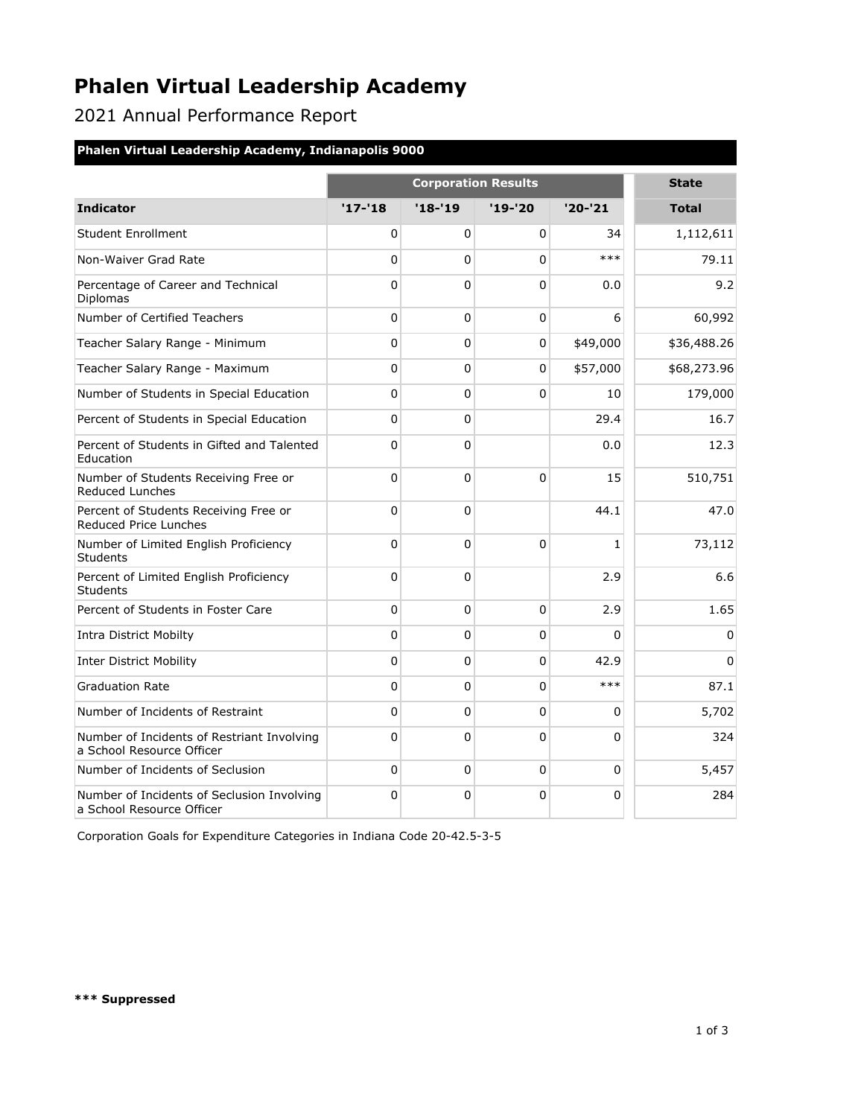# **Phalen Virtual Leadership Academy**

2021 Annual Performance Report

### **Phalen Virtual Leadership Academy, Indianapolis 9000**

|                                                                         | <b>Corporation Results</b> |          |                |              | <b>State</b> |
|-------------------------------------------------------------------------|----------------------------|----------|----------------|--------------|--------------|
| <b>Indicator</b>                                                        | $'17 - 18$                 | $'18-19$ | '19-'20        | $'20-'21$    | <b>Total</b> |
| <b>Student Enrollment</b>                                               | 0                          | 0        | 0              | 34           | 1,112,611    |
| Non-Waiver Grad Rate                                                    | $\Omega$                   | 0        | $\Omega$       | $***$        | 79.11        |
| Percentage of Career and Technical<br>Diplomas                          | $\Omega$                   | $\Omega$ | $\Omega$       | 0.0          | 9.2          |
| Number of Certified Teachers                                            | $\Omega$                   | 0        | $\mathbf 0$    | 6            | 60,992       |
| Teacher Salary Range - Minimum                                          | $\Omega$                   | $\Omega$ | $\Omega$       | \$49,000     | \$36,488.26  |
| Teacher Salary Range - Maximum                                          | 0                          | 0        | $\Omega$       | \$57,000     | \$68,273.96  |
| Number of Students in Special Education                                 | $\Omega$                   | 0        | $\Omega$       | 10           | 179,000      |
| Percent of Students in Special Education                                | 0                          | 0        |                | 29.4         | 16.7         |
| Percent of Students in Gifted and Talented<br>Education                 | $\Omega$                   | $\Omega$ |                | 0.0          | 12.3         |
| Number of Students Receiving Free or<br><b>Reduced Lunches</b>          | $\Omega$                   | $\Omega$ | $\overline{0}$ | 15           | 510,751      |
| Percent of Students Receiving Free or<br>Reduced Price Lunches          | $\Omega$                   | $\Omega$ |                | 44.1         | 47.0         |
| Number of Limited English Proficiency<br>Students                       | $\Omega$                   | 0        | $\Omega$       | $\mathbf{1}$ | 73,112       |
| Percent of Limited English Proficiency<br><b>Students</b>               | $\Omega$                   | $\Omega$ |                | 2.9          | 6.6          |
| Percent of Students in Foster Care                                      | $\Omega$                   | $\Omega$ | $\mathbf{0}$   | 2.9          | 1.65         |
| <b>Intra District Mobilty</b>                                           | $\Omega$                   | 0        | $\mathbf{0}$   | $\Omega$     | $\mathbf{0}$ |
| <b>Inter District Mobility</b>                                          | $\Omega$                   | $\Omega$ | $\Omega$       | 42.9         | $\Omega$     |
| <b>Graduation Rate</b>                                                  | $\Omega$                   | 0        | $\Omega$       | $***$        | 87.1         |
| Number of Incidents of Restraint                                        | $\Omega$                   | 0        | $\Omega$       | $\Omega$     | 5,702        |
| Number of Incidents of Restriant Involving<br>a School Resource Officer | 0                          | 0        | $\Omega$       | $\Omega$     | 324          |
| Number of Incidents of Seclusion                                        | $\Omega$                   | 0        | $\Omega$       | 0            | 5,457        |
| Number of Incidents of Seclusion Involving<br>a School Resource Officer | $\Omega$                   | 0        | $\mathbf 0$    | $\Omega$     | 284          |

Corporation Goals for Expenditure Categories in Indiana Code 20-42.5-3-5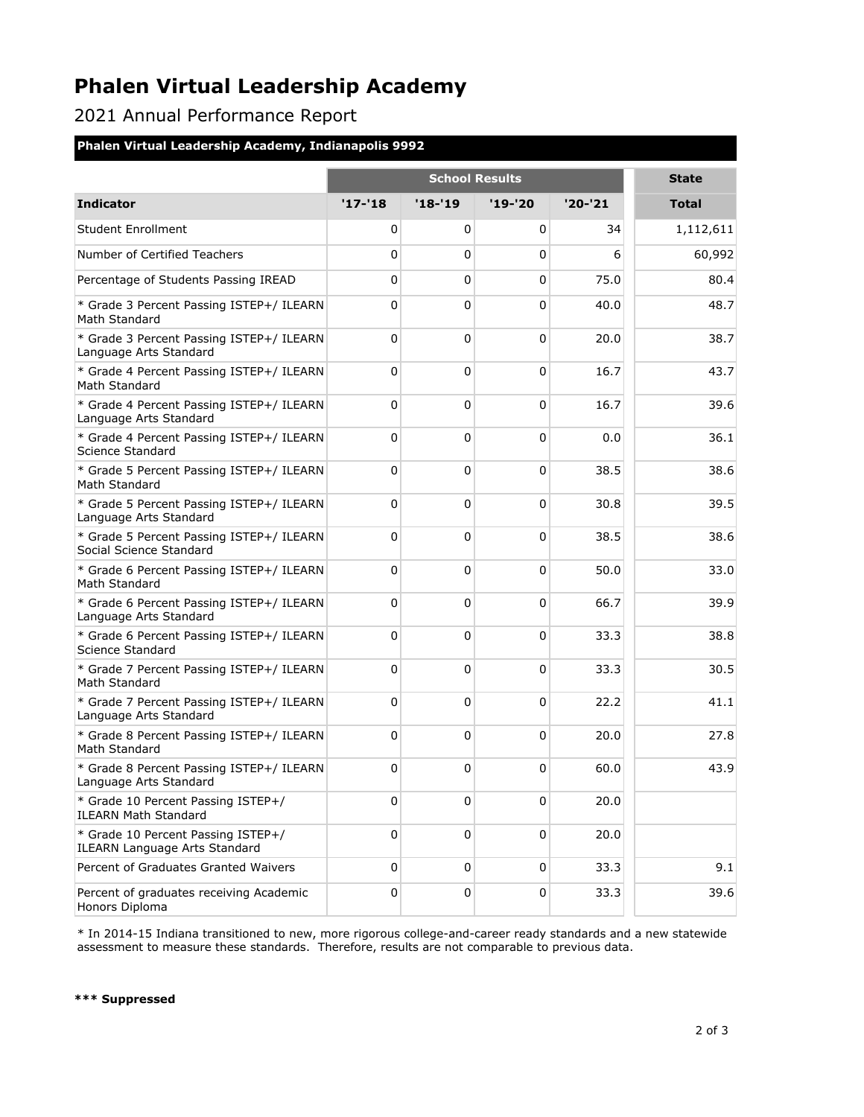### **Phalen Virtual Leadership Academy**

2021 Annual Performance Report

#### **Phalen Virtual Leadership Academy, Indianapolis 9992**

|                                                                            | <b>School Results</b> |             |             |             | <b>State</b> |
|----------------------------------------------------------------------------|-----------------------|-------------|-------------|-------------|--------------|
| <b>Indicator</b>                                                           | $'17-'18$             | $'18 - 19$  | $'19 - '20$ | $'20 - '21$ | Total        |
| <b>Student Enrollment</b>                                                  | 0                     | 0           | 0           | 34          | 1,112,611    |
| Number of Certified Teachers                                               | 0                     | $\mathbf 0$ | 0           | 6           | 60,992       |
| Percentage of Students Passing IREAD                                       | 0                     | $\mathbf 0$ | $\Omega$    | 75.0        | 80.4         |
| * Grade 3 Percent Passing ISTEP+/ ILEARN<br>Math Standard                  | 0                     | $\mathbf 0$ | $\Omega$    | 40.0        | 48.7         |
| * Grade 3 Percent Passing ISTEP+/ ILEARN<br>Language Arts Standard         | 0                     | $\mathbf 0$ | $\Omega$    | 20.0        | 38.7         |
| * Grade 4 Percent Passing ISTEP+/ ILEARN<br>Math Standard                  | 0                     | 0           | $\Omega$    | 16.7        | 43.7         |
| * Grade 4 Percent Passing ISTEP+/ ILEARN<br>Language Arts Standard         | 0                     | 0           | 0           | 16.7        | 39.6         |
| * Grade 4 Percent Passing ISTEP+/ ILEARN<br>Science Standard               | 0                     | $\mathbf 0$ | $\Omega$    | 0.0         | 36.1         |
| * Grade 5 Percent Passing ISTEP+/ ILEARN<br>Math Standard                  | 0                     | $\mathbf 0$ | $\Omega$    | 38.5        | 38.6         |
| * Grade 5 Percent Passing ISTEP+/ ILEARN<br>Language Arts Standard         | 0                     | $\mathbf 0$ | $\Omega$    | 30.8        | 39.5         |
| * Grade 5 Percent Passing ISTEP+/ ILEARN<br>Social Science Standard        | 0                     | 0           | $\Omega$    | 38.5        | 38.6         |
| * Grade 6 Percent Passing ISTEP+/ ILEARN<br>Math Standard                  | 0                     | 0           | 0           | 50.0        | 33.0         |
| * Grade 6 Percent Passing ISTEP+/ ILEARN<br>Language Arts Standard         | 0                     | $\mathbf 0$ | 0           | 66.7        | 39.9         |
| * Grade 6 Percent Passing ISTEP+/ ILEARN<br>Science Standard               | 0                     | 0           | $\Omega$    | 33.3        | 38.8         |
| * Grade 7 Percent Passing ISTEP+/ ILEARN<br>Math Standard                  | 0                     | $\mathbf 0$ | 0           | 33.3        | 30.5         |
| * Grade 7 Percent Passing ISTEP+/ ILEARN<br>Language Arts Standard         | 0                     | 0           | 0           | 22.2        | 41.1         |
| * Grade 8 Percent Passing ISTEP+/ ILEARN<br>Math Standard                  | 0                     | 0           | 0           | 20.0        | 27.8         |
| * Grade 8 Percent Passing ISTEP+/ ILEARN<br>Language Arts Standard         | 0                     | 0           | 0           | 60.0        | 43.9         |
| * Grade 10 Percent Passing ISTEP+/<br><b>ILEARN Math Standard</b>          | 0                     | $\mathbf 0$ | 0           | 20.0        |              |
| * Grade 10 Percent Passing ISTEP+/<br><b>ILEARN Language Arts Standard</b> | 0                     | $\mathbf 0$ | $\pmb{0}$   | 20.0        |              |
| Percent of Graduates Granted Waivers                                       | 0                     | $\pmb{0}$   | $\mathbf 0$ | 33.3        | 9.1          |
| Percent of graduates receiving Academic<br>Honors Diploma                  | 0                     | $\pmb{0}$   | 0           | 33.3        | 39.6         |

\* In 2014-15 Indiana transitioned to new, more rigorous college-and-career ready standards and a new statewide assessment to measure these standards. Therefore, results are not comparable to previous data.